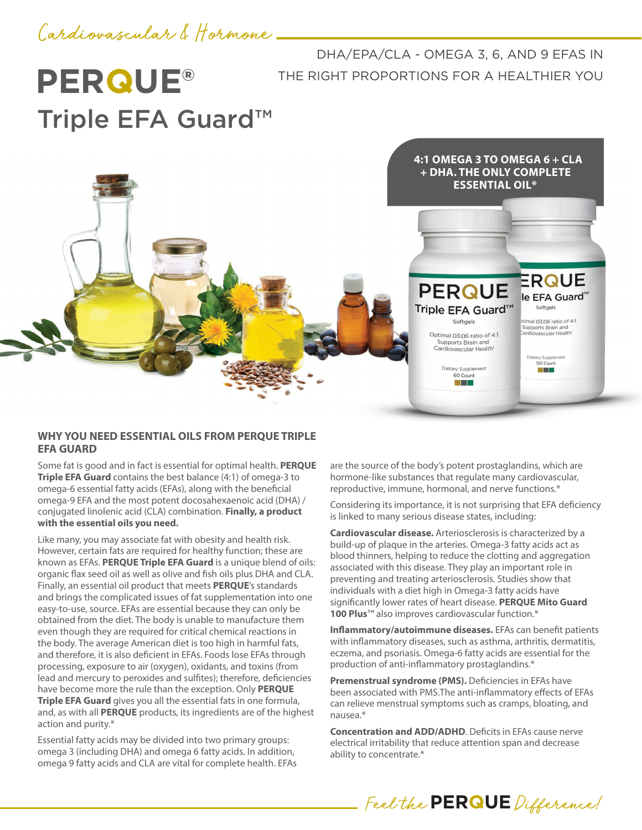# Cardiovascular & Hormone

**PERQUE®** Triple EFA Guard™

DHA/EPA/CLA - OMEGA 3, 6, AND 9 EFAS IN THE RIGHT PROPORTIONS FOR A HEALTHIER YOU



## **WHY YOU NEED ESSENTIAL OILS FROM PERQUE TRIPLE EFA GUARD**

Some fat is good and in fact is essential for optimal health. **PERQUE Triple EFA Guard** contains the best balance (4:1) of omega-3 to omega-6 essential fatty acids (EFAs), along with the beneficial omega-9 EFA and the most potent docosahexaenoic acid (DHA) / conjugated linolenic acid (CLA) combination. **Finally, a product with the essential oils you need.** 

Like many, you may associate fat with obesity and health risk. However, certain fats are required for healthy function; these are known as EFAs. **PERQUE Triple EFA Guard** is a unique blend of oils: organic flax seed oil as well as olive and fish oils plus DHA and CLA. Finally, an essential oil product that meets **PERQUE**'s standards and brings the complicated issues of fat supplementation into one easy-to-use, source. EFAs are essential because they can only be obtained from the diet. The body is unable to manufacture them even though they are required for critical chemical reactions in the body. The average American diet is too high in harmful fats, and therefore, it is also deficient in EFAs. Foods lose EFAs through processing, exposure to air (oxygen), oxidants, and toxins (from lead and mercury to peroxides and sulfites); therefore, deficiencies have become more the rule than the exception. Only **PERQUE Triple EFA Guard** gives you all the essential fats in one formula, and, as with all **PERQUE** products, its ingredients are of the highest action and purity.\*

Essential fatty acids may be divided into two primary groups: omega 3 (including DHA) and omega 6 fatty acids. In addition, omega 9 fatty acids and CLA are vital for complete health. EFAs are the source of the body's potent prostaglandins, which are hormone-like substances that regulate many cardiovascular, reproductive, immune, hormonal, and nerve functions.\*

Considering its importance, it is not surprising that EFA deficiency is linked to many serious disease states, including:

**Cardiovascular disease.** Arteriosclerosis is characterized by a build-up of plaque in the arteries. Omega-3 fatty acids act as blood thinners, helping to reduce the clotting and aggregation associated with this disease. They play an important role in preventing and treating arteriosclerosis. Studies show that individuals with a diet high in Omega-3 fatty acids have significantly lower rates of heart disease. **PERQUE Mito Guard 100 Plus<sup>™</sup> also improves cardiovascular function.\*** 

**Inflammatory/autoimmune diseases.** EFAs can benefit patients with inflammatory diseases, such as asthma, arthritis, dermatitis, eczema, and psoriasis. Omega-6 fatty acids are essential for the production of anti-inflammatory prostaglandins.\*

**Premenstrual syndrome (PMS).** Deficiencies in EFAs have been associated with PMS.The anti-inflammatory effects of EFAs can relieve menstrual symptoms such as cramps, bloating, and nausea.\*

**Concentration and ADD/ADHD**. Deficits in EFAs cause nerve electrical irritability that reduce attention span and decrease ability to concentrate.\*